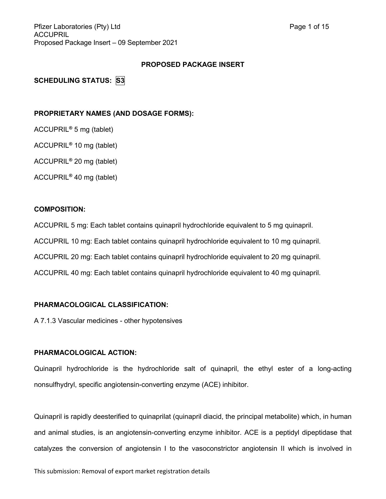Pfizer Laboratories (Pty) Ltd **Page 1 of 15** ACCUPRIL Proposed Package Insert – 09 September 2021

### **PROPOSED PACKAGE INSERT**

**SCHEDULING STATUS: S3**

### **PROPRIETARY NAMES (AND DOSAGE FORMS):**

ACCUPRIL**®** 5 mg (tablet)

ACCUPRIL**®** 10 mg (tablet)

ACCUPRIL**®** 20 mg (tablet)

ACCUPRIL**®** 40 mg (tablet)

# **COMPOSITION:**

ACCUPRIL 5 mg: Each tablet contains quinapril hydrochloride equivalent to 5 mg quinapril. ACCUPRIL 10 mg: Each tablet contains quinapril hydrochloride equivalent to 10 mg quinapril. ACCUPRIL 20 mg: Each tablet contains quinapril hydrochloride equivalent to 20 mg quinapril. ACCUPRIL 40 mg: Each tablet contains quinapril hydrochloride equivalent to 40 mg quinapril.

### **PHARMACOLOGICAL CLASSIFICATION:**

A 7.1.3 Vascular medicines - other hypotensives

### **PHARMACOLOGICAL ACTION:**

Quinapril hydrochloride is the hydrochloride salt of quinapril, the ethyl ester of a long-acting nonsulfhydryl, specific angiotensin-converting enzyme (ACE) inhibitor.

Quinapril is rapidly deesterified to quinaprilat (quinapril diacid, the principal metabolite) which, in human and animal studies, is an angiotensin-converting enzyme inhibitor. ACE is a peptidyl dipeptidase that catalyzes the conversion of angiotensin I to the vasoconstrictor angiotensin II which is involved in

This submission: Removal of export market registration details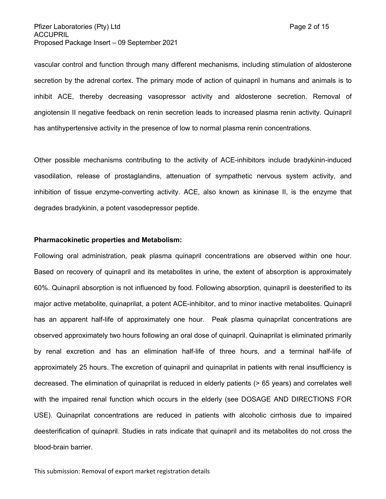vascular control and function through many different mechanisms, including stimulation of aldosterone secretion by the adrenal cortex. The primary mode of action of quinapril in humans and animals is to inhibit ACE, thereby decreasing vasopressor activity and aldosterone secretion. Removal of angiotensin II negative feedback on renin secretion leads to increased plasma renin activity. Quinapril has antihypertensive activity in the presence of low to normal plasma renin concentrations.

Other possible mechanisms contributing to the activity of ACE-inhibitors include bradykinin-induced vasodilation, release of prostaglandins, attenuation of sympathetic nervous system activity, and inhibition of tissue enzyme-converting activity. ACE, also known as kininase II, is the enzyme that degrades bradykinin, a potent vasodepressor peptide.

### **Pharmacokinetic properties and Metabolism:**

Following oral administration, peak plasma quinapril concentrations are observed within one hour. Based on recovery of quinapril and its metabolites in urine, the extent of absorption is approximately 60%. Quinapril absorption is not influenced by food. Following absorption, quinapril is deesterified to its major active metabolite, quinaprilat, a potent ACE-inhibitor, and to minor inactive metabolites. Quinapril has an apparent half-life of approximately one hour. Peak plasma quinaprilat concentrations are observed approximately two hours following an oral dose of quinapril. Quinaprilat is eliminated primarily by renal excretion and has an elimination half-life of three hours, and a terminal half-life of approximately 25 hours. The excretion of quinapril and quinaprilat in patients with renal insufficiency is decreased. The elimination of quinaprilat is reduced in elderly patients (> 65 years) and correlates well with the impaired renal function which occurs in the elderly (see DOSAGE AND DIRECTIONS FOR USE). Quinaprilat concentrations are reduced in patients with alcoholic cirrhosis due to impaired deesterification of quinapril. Studies in rats indicate that quinapril and its metabolites do not cross the blood-brain barrier.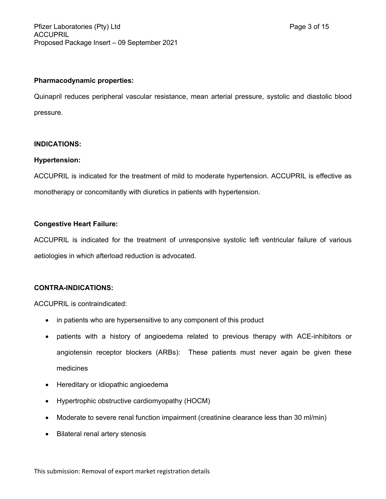### **Pharmacodynamic properties:**

Quinapril reduces peripheral vascular resistance, mean arterial pressure, systolic and diastolic blood pressure.

# **INDICATIONS:**

### **Hypertension:**

ACCUPRIL is indicated for the treatment of mild to moderate hypertension. ACCUPRIL is effective as monotherapy or concomitantly with diuretics in patients with hypertension.

# **Congestive Heart Failure:**

ACCUPRIL is indicated for the treatment of unresponsive systolic left ventricular failure of various aetiologies in which afterload reduction is advocated.

# **CONTRA-INDICATIONS:**

ACCUPRIL is contraindicated:

- in patients who are hypersensitive to any component of this product
- patients with a history of angioedema related to previous therapy with ACE-inhibitors or angiotensin receptor blockers (ARBs): These patients must never again be given these medicines
- Hereditary or idiopathic angioedema
- Hypertrophic obstructive cardiomyopathy (HOCM)
- Moderate to severe renal function impairment (creatinine clearance less than 30 ml/min)
- Bilateral renal artery stenosis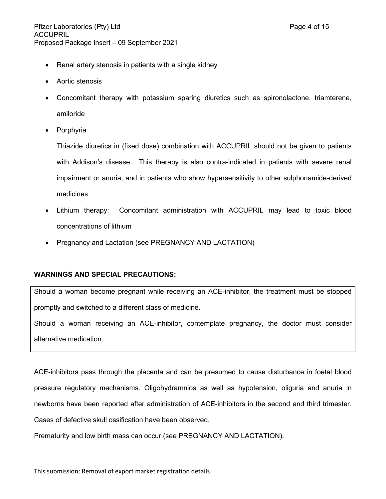- Renal artery stenosis in patients with a single kidney
- Aortic stenosis
- Concomitant therapy with potassium sparing diuretics such as spironolactone, triamterene, amiloride
- Porphyria

Thiazide diuretics in (fixed dose) combination with ACCUPRIL should not be given to patients with Addison's disease. This therapy is also contra-indicated in patients with severe renal impairment or anuria, and in patients who show hypersensitivity to other sulphonamide-derived medicines

- Lithium therapy: Concomitant administration with ACCUPRIL may lead to toxic blood concentrations of lithium
- Pregnancy and Lactation (see PREGNANCY AND LACTATION)

# **WARNINGS AND SPECIAL PRECAUTIONS:**

Should a woman become pregnant while receiving an ACE-inhibitor, the treatment must be stopped promptly and switched to a different class of medicine.

Should a woman receiving an ACE-inhibitor, contemplate pregnancy, the doctor must consider alternative medication.

ACE-inhibitors pass through the placenta and can be presumed to cause disturbance in foetal blood pressure regulatory mechanisms. Oligohydramnios as well as hypotension, oliguria and anuria in newborns have been reported after administration of ACE-inhibitors in the second and third trimester. Cases of defective skull ossification have been observed.

Prematurity and low birth mass can occur (see PREGNANCY AND LACTATION).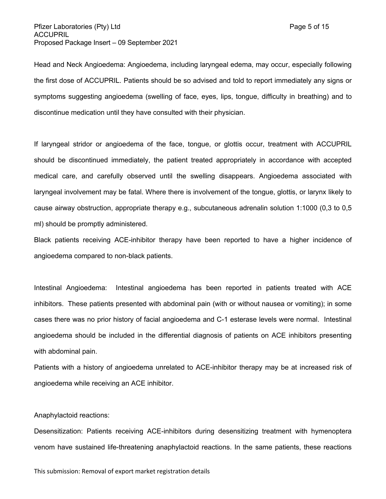### Pfizer Laboratories (Pty) Ltd Page 5 of 15 ACCUPRIL Proposed Package Insert – 09 September 2021

Head and Neck Angioedema: Angioedema, including laryngeal edema, may occur, especially following the first dose of ACCUPRIL. Patients should be so advised and told to report immediately any signs or symptoms suggesting angioedema (swelling of face, eyes, lips, tongue, difficulty in breathing) and to discontinue medication until they have consulted with their physician.

If laryngeal stridor or angioedema of the face, tongue, or glottis occur, treatment with ACCUPRIL should be discontinued immediately, the patient treated appropriately in accordance with accepted medical care, and carefully observed until the swelling disappears. Angioedema associated with laryngeal involvement may be fatal. Where there is involvement of the tongue, glottis, or larynx likely to cause airway obstruction, appropriate therapy e.g., subcutaneous adrenalin solution 1:1000 (0,3 to 0,5 ml) should be promptly administered.

Black patients receiving ACE-inhibitor therapy have been reported to have a higher incidence of angioedema compared to non-black patients.

Intestinal Angioedema: Intestinal angioedema has been reported in patients treated with ACE inhibitors. These patients presented with abdominal pain (with or without nausea or vomiting); in some cases there was no prior history of facial angioedema and C-1 esterase levels were normal. Intestinal angioedema should be included in the differential diagnosis of patients on ACE inhibitors presenting with abdominal pain.

Patients with a history of angioedema unrelated to ACE-inhibitor therapy may be at increased risk of angioedema while receiving an ACE inhibitor.

### Anaphylactoid reactions:

Desensitization: Patients receiving ACE-inhibitors during desensitizing treatment with hymenoptera venom have sustained life-threatening anaphylactoid reactions. In the same patients, these reactions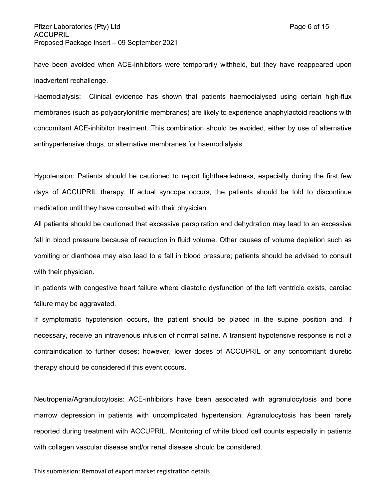have been avoided when ACE-inhibitors were temporarily withheld, but they have reappeared upon inadvertent rechallenge.

Haemodialysis: Clinical evidence has shown that patients haemodialysed using certain high-flux membranes (such as polyacrylonitrile membranes) are likely to experience anaphylactoid reactions with concomitant ACE-inhibitor treatment. This combination should be avoided, either by use of alternative antihypertensive drugs, or alternative membranes for haemodialysis.

Hypotension: Patients should be cautioned to report lightheadedness, especially during the first few days of ACCUPRIL therapy. If actual syncope occurs, the patients should be told to discontinue medication until they have consulted with their physician.

All patients should be cautioned that excessive perspiration and dehydration may lead to an excessive fall in blood pressure because of reduction in fluid volume. Other causes of volume depletion such as vomiting or diarrhoea may also lead to a fall in blood pressure; patients should be advised to consult with their physician.

In patients with congestive heart failure where diastolic dysfunction of the left ventricle exists, cardiac failure may be aggravated.

If symptomatic hypotension occurs, the patient should be placed in the supine position and, if necessary, receive an intravenous infusion of normal saline. A transient hypotensive response is not a contraindication to further doses; however, lower doses of ACCUPRIL or any concomitant diuretic therapy should be considered if this event occurs.

Neutropenia/Agranulocytosis: ACE-inhibitors have been associated with agranulocytosis and bone marrow depression in patients with uncomplicated hypertension. Agranulocytosis has been rarely reported during treatment with ACCUPRIL. Monitoring of white blood cell counts especially in patients with collagen vascular disease and/or renal disease should be considered.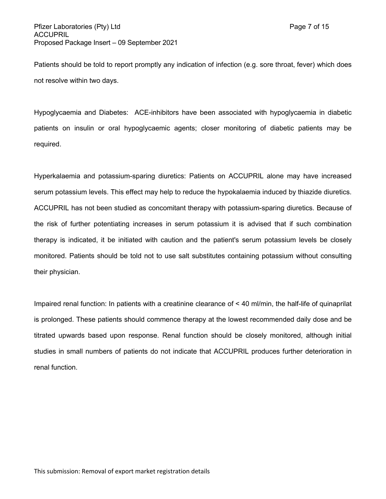Patients should be told to report promptly any indication of infection (e.g. sore throat, fever) which does not resolve within two days.

Hypoglycaemia and Diabetes: ACE-inhibitors have been associated with hypoglycaemia in diabetic patients on insulin or oral hypoglycaemic agents; closer monitoring of diabetic patients may be required.

Hyperkalaemia and potassium-sparing diuretics: Patients on ACCUPRIL alone may have increased serum potassium levels. This effect may help to reduce the hypokalaemia induced by thiazide diuretics. ACCUPRIL has not been studied as concomitant therapy with potassium-sparing diuretics. Because of the risk of further potentiating increases in serum potassium it is advised that if such combination therapy is indicated, it be initiated with caution and the patient's serum potassium levels be closely monitored. Patients should be told not to use salt substitutes containing potassium without consulting their physician.

Impaired renal function: In patients with a creatinine clearance of < 40 ml/min, the half-life of quinaprilat is prolonged. These patients should commence therapy at the lowest recommended daily dose and be titrated upwards based upon response. Renal function should be closely monitored, although initial studies in small numbers of patients do not indicate that ACCUPRIL produces further deterioration in renal function.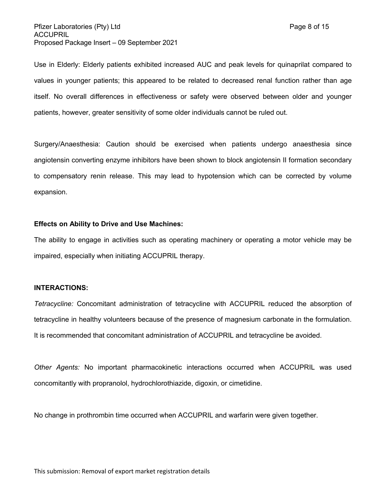Use in Elderly: Elderly patients exhibited increased AUC and peak levels for quinaprilat compared to values in younger patients; this appeared to be related to decreased renal function rather than age itself. No overall differences in effectiveness or safety were observed between older and younger patients, however, greater sensitivity of some older individuals cannot be ruled out.

Surgery/Anaesthesia: Caution should be exercised when patients undergo anaesthesia since angiotensin converting enzyme inhibitors have been shown to block angiotensin II formation secondary to compensatory renin release. This may lead to hypotension which can be corrected by volume expansion.

#### **Effects on Ability to Drive and Use Machines:**

The ability to engage in activities such as operating machinery or operating a motor vehicle may be impaired, especially when initiating ACCUPRIL therapy.

### **INTERACTIONS:**

*Tetracycline:* Concomitant administration of tetracycline with ACCUPRIL reduced the absorption of tetracycline in healthy volunteers because of the presence of magnesium carbonate in the formulation. It is recommended that concomitant administration of ACCUPRIL and tetracycline be avoided.

*Other Agents:* No important pharmacokinetic interactions occurred when ACCUPRIL was used concomitantly with propranolol, hydrochlorothiazide, digoxin, or cimetidine.

No change in prothrombin time occurred when ACCUPRIL and warfarin were given together.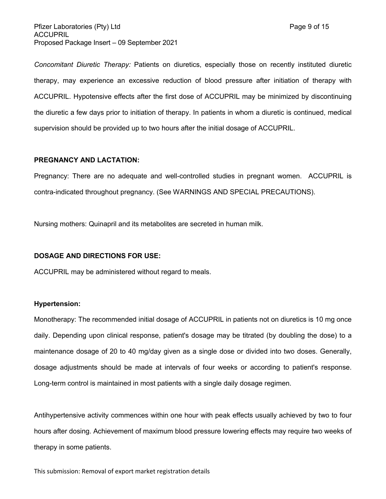Pfizer Laboratories (Pty) Ltd Page 9 of 15 ACCUPRIL Proposed Package Insert – 09 September 2021

*Concomitant Diuretic Therapy:* Patients on diuretics, especially those on recently instituted diuretic therapy, may experience an excessive reduction of blood pressure after initiation of therapy with ACCUPRIL. Hypotensive effects after the first dose of ACCUPRIL may be minimized by discontinuing the diuretic a few days prior to initiation of therapy. In patients in whom a diuretic is continued, medical supervision should be provided up to two hours after the initial dosage of ACCUPRIL.

#### **PREGNANCY AND LACTATION:**

Pregnancy: There are no adequate and well-controlled studies in pregnant women. ACCUPRIL is contra-indicated throughout pregnancy. (See WARNINGS AND SPECIAL PRECAUTIONS).

Nursing mothers: Quinapril and its metabolites are secreted in human milk.

#### **DOSAGE AND DIRECTIONS FOR USE:**

ACCUPRIL may be administered without regard to meals.

#### **Hypertension:**

Monotherapy: The recommended initial dosage of ACCUPRIL in patients not on diuretics is 10 mg once daily. Depending upon clinical response, patient's dosage may be titrated (by doubling the dose) to a maintenance dosage of 20 to 40 mg/day given as a single dose or divided into two doses. Generally, dosage adjustments should be made at intervals of four weeks or according to patient's response. Long-term control is maintained in most patients with a single daily dosage regimen.

Antihypertensive activity commences within one hour with peak effects usually achieved by two to four hours after dosing. Achievement of maximum blood pressure lowering effects may require two weeks of therapy in some patients.

This submission: Removal of export market registration details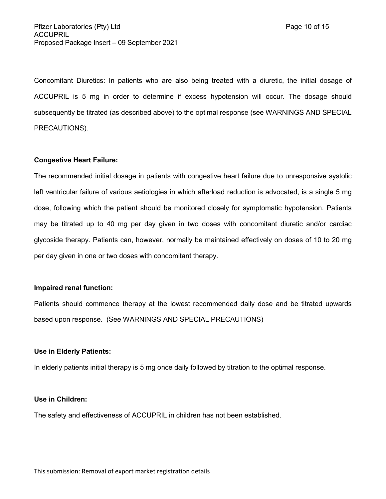Concomitant Diuretics: In patients who are also being treated with a diuretic, the initial dosage of ACCUPRIL is 5 mg in order to determine if excess hypotension will occur. The dosage should subsequently be titrated (as described above) to the optimal response (see WARNINGS AND SPECIAL PRECAUTIONS).

### **Congestive Heart Failure:**

The recommended initial dosage in patients with congestive heart failure due to unresponsive systolic left ventricular failure of various aetiologies in which afterload reduction is advocated, is a single 5 mg dose, following which the patient should be monitored closely for symptomatic hypotension. Patients may be titrated up to 40 mg per day given in two doses with concomitant diuretic and/or cardiac glycoside therapy. Patients can, however, normally be maintained effectively on doses of 10 to 20 mg per day given in one or two doses with concomitant therapy.

### **Impaired renal function:**

Patients should commence therapy at the lowest recommended daily dose and be titrated upwards based upon response. (See WARNINGS AND SPECIAL PRECAUTIONS)

#### **Use in Elderly Patients:**

In elderly patients initial therapy is 5 mg once daily followed by titration to the optimal response.

#### **Use in Children:**

The safety and effectiveness of ACCUPRIL in children has not been established.

This submission: Removal of export market registration details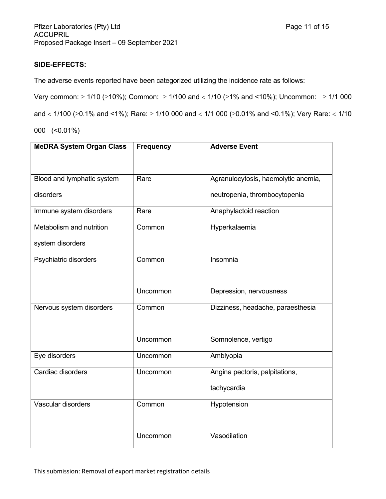# **SIDE-EFFECTS:**

The adverse events reported have been categorized utilizing the incidence rate as follows:

Very common:  $\geq 1/10$  ( $\geq 10\%$ ); Common:  $\geq 1/100$  and  $< 1/10$  ( $\geq 1\%$  and  $< 10\%$ ); Uncommon:  $\geq 1/1000$ 

and  $<$  1/100 ( $\ge$ 0.1% and <1%); Rare:  $\ge$  1/10 000 and  $<$  1/1 000 ( $\ge$ 0.01% and <0.1%); Very Rare:  $<$  1/10

000 (<0.01%)

| <b>MeDRA System Organ Class</b> | <b>Frequency</b> | <b>Adverse Event</b>                |
|---------------------------------|------------------|-------------------------------------|
|                                 |                  |                                     |
| Blood and lymphatic system      | Rare             | Agranulocytosis, haemolytic anemia, |
| disorders                       |                  | neutropenia, thrombocytopenia       |
| Immune system disorders         | Rare             | Anaphylactoid reaction              |
| Metabolism and nutrition        | Common           | Hyperkalaemia                       |
| system disorders                |                  |                                     |
| Psychiatric disorders           | Common           | Insomnia                            |
|                                 |                  |                                     |
|                                 | Uncommon         | Depression, nervousness             |
| Nervous system disorders        | Common           | Dizziness, headache, paraesthesia   |
|                                 |                  |                                     |
|                                 | Uncommon         | Somnolence, vertigo                 |
| Eye disorders                   | Uncommon         | Amblyopia                           |
| Cardiac disorders               | Uncommon         | Angina pectoris, palpitations,      |
|                                 |                  | tachycardia                         |
| Vascular disorders              | Common           | Hypotension                         |
|                                 |                  |                                     |
|                                 | Uncommon         | Vasodilation                        |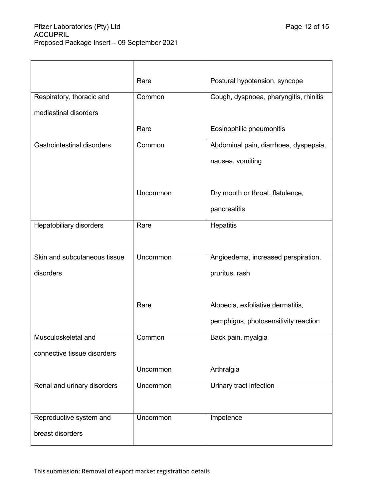|                                   | Rare     | Postural hypotension, syncope          |
|-----------------------------------|----------|----------------------------------------|
| Respiratory, thoracic and         | Common   | Cough, dyspnoea, pharyngitis, rhinitis |
| mediastinal disorders             |          |                                        |
|                                   | Rare     | Eosinophilic pneumonitis               |
| <b>Gastrointestinal disorders</b> | Common   | Abdominal pain, diarrhoea, dyspepsia,  |
|                                   |          | nausea, vomiting                       |
|                                   |          |                                        |
|                                   | Uncommon | Dry mouth or throat, flatulence,       |
|                                   |          | pancreatitis                           |
| Hepatobiliary disorders           | Rare     | <b>Hepatitis</b>                       |
|                                   |          |                                        |
| Skin and subcutaneous tissue      | Uncommon | Angioedema, increased perspiration,    |
| disorders                         |          | pruritus, rash                         |
|                                   |          |                                        |
|                                   | Rare     | Alopecia, exfoliative dermatitis,      |
|                                   |          | pemphigus, photosensitivity reaction   |
| Musculoskeletal and               | Common   | Back pain, myalgia                     |
| connective tissue disorders       |          |                                        |
|                                   | Uncommon | Arthralgia                             |
| Renal and urinary disorders       | Uncommon | Urinary tract infection                |
|                                   |          |                                        |
| Reproductive system and           | Uncommon | Impotence                              |
| breast disorders                  |          |                                        |
|                                   |          |                                        |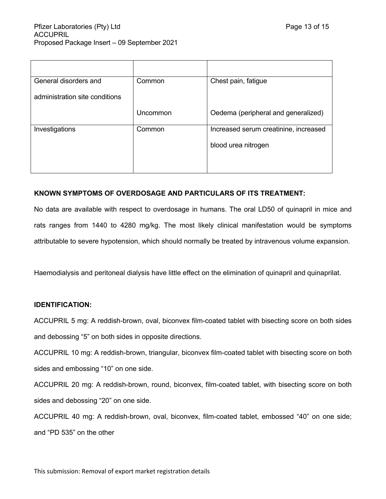| General disorders and          | Common   | Chest pain, fatigue                   |
|--------------------------------|----------|---------------------------------------|
| administration site conditions |          |                                       |
|                                | Uncommon | Oedema (peripheral and generalized)   |
| Investigations                 | Common   | Increased serum creatinine, increased |
|                                |          | blood urea nitrogen                   |
|                                |          |                                       |
|                                |          |                                       |

# **KNOWN SYMPTOMS OF OVERDOSAGE AND PARTICULARS OF ITS TREATMENT:**

No data are available with respect to overdosage in humans. The oral LD50 of quinapril in mice and rats ranges from 1440 to 4280 mg/kg. The most likely clinical manifestation would be symptoms attributable to severe hypotension, which should normally be treated by intravenous volume expansion.

Haemodialysis and peritoneal dialysis have little effect on the elimination of quinapril and quinaprilat.

### **IDENTIFICATION:**

ACCUPRIL 5 mg: A reddish-brown, oval, biconvex film-coated tablet with bisecting score on both sides and debossing "5" on both sides in opposite directions.

ACCUPRIL 10 mg: A reddish-brown, triangular, biconvex film-coated tablet with bisecting score on both sides and embossing "10" on one side.

ACCUPRIL 20 mg: A reddish-brown, round, biconvex, film-coated tablet, with bisecting score on both sides and debossing "20" on one side.

ACCUPRIL 40 mg: A reddish-brown, oval, biconvex, film-coated tablet, embossed "40" on one side; and "PD 535" on the other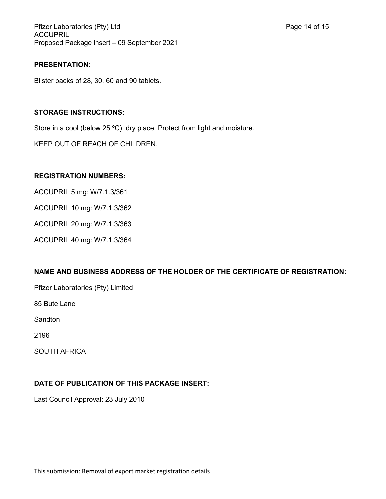Pfizer Laboratories (Pty) Ltd **Philosopheratories** (Pty) Ltd **Page 14 of 15** ACCUPRIL Proposed Package Insert – 09 September 2021

# **PRESENTATION:**

Blister packs of 28, 30, 60 and 90 tablets.

# **STORAGE INSTRUCTIONS:**

Store in a cool (below 25 °C), dry place. Protect from light and moisture.

KEEP OUT OF REACH OF CHILDREN.

# **REGISTRATION NUMBERS:**

ACCUPRIL 5 mg: W/7.1.3/361

ACCUPRIL 10 mg: W/7.1.3/362

ACCUPRIL 20 mg: W/7.1.3/363

ACCUPRIL 40 mg: W/7.1.3/364

# **NAME AND BUSINESS ADDRESS OF THE HOLDER OF THE CERTIFICATE OF REGISTRATION:**

Pfizer Laboratories (Pty) Limited

85 Bute Lane

**Sandton** 

2196

SOUTH AFRICA

# **DATE OF PUBLICATION OF THIS PACKAGE INSERT:**

Last Council Approval: 23 July 2010